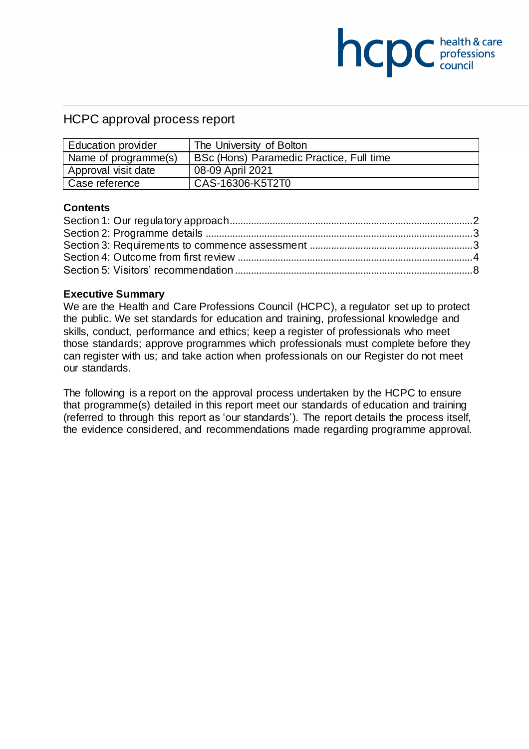### HCPC approval process report

| <b>Education provider</b> | The University of Bolton                 |
|---------------------------|------------------------------------------|
| Name of programme(s)      | BSc (Hons) Paramedic Practice, Full time |
| Approval visit date       | 08-09 April 2021                         |
| Case reference            | CAS-16306-K5T2T0                         |

**NCDC** chealth & care

#### **Contents**

#### **Executive Summary**

We are the Health and Care Professions Council (HCPC), a regulator set up to protect the public. We set standards for education and training, professional knowledge and skills, conduct, performance and ethics; keep a register of professionals who meet those standards; approve programmes which professionals must complete before they can register with us; and take action when professionals on our Register do not meet our standards.

The following is a report on the approval process undertaken by the HCPC to ensure that programme(s) detailed in this report meet our standards of education and training (referred to through this report as 'our standards'). The report details the process itself, the evidence considered, and recommendations made regarding programme approval.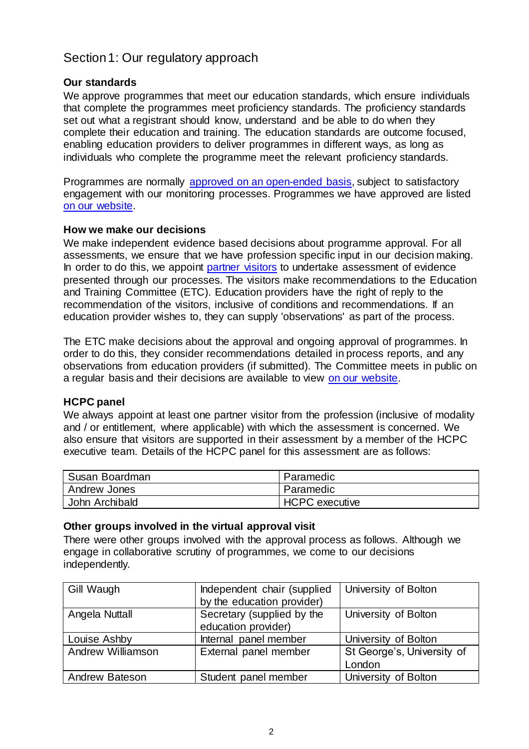# <span id="page-1-0"></span>Section 1: Our regulatory approach

### **Our standards**

We approve programmes that meet our education standards, which ensure individuals that complete the programmes meet proficiency standards. The proficiency standards set out what a registrant should know, understand and be able to do when they complete their education and training. The education standards are outcome focused, enabling education providers to deliver programmes in different ways, as long as individuals who complete the programme meet the relevant proficiency standards.

Programmes are normally [approved on an open-ended basis,](http://www.hcpc-uk.org/education/processes/) subject to satisfactory engagement with our monitoring processes. Programmes we have approved are listed [on our website.](http://www.hcpc-uk.org/education/programmes/register/)

### **How we make our decisions**

We make independent evidence based decisions about programme approval. For all assessments, we ensure that we have profession specific input in our decision making. In order to do this, we appoint [partner visitors](http://www.hcpc-uk.org/aboutus/partners/) to undertake assessment of evidence presented through our processes. The visitors make recommendations to the Education and Training Committee (ETC). Education providers have the right of reply to the recommendation of the visitors, inclusive of conditions and recommendations. If an education provider wishes to, they can supply 'observations' as part of the process.

The ETC make decisions about the approval and ongoing approval of programmes. In order to do this, they consider recommendations detailed in process reports, and any observations from education providers (if submitted). The Committee meets in public on a regular basis and their decisions are available to view [on our website.](http://www.hcpc-uk.org/aboutus/committees/educationandtrainingpanel/)

### **HCPC panel**

We always appoint at least one partner visitor from the profession (inclusive of modality and / or entitlement, where applicable) with which the assessment is concerned. We also ensure that visitors are supported in their assessment by a member of the HCPC executive team. Details of the HCPC panel for this assessment are as follows:

| Susan Boardman | Paramedic             |  |
|----------------|-----------------------|--|
| Andrew Jones   | Paramedic             |  |
| John Archibald | <b>HCPC</b> executive |  |

### **Other groups involved in the virtual approval visit**

There were other groups involved with the approval process as follows. Although we engage in collaborative scrutiny of programmes, we come to our decisions independently.

| Gill Waugh            | Independent chair (supplied | University of Bolton       |
|-----------------------|-----------------------------|----------------------------|
|                       | by the education provider)  |                            |
| Angela Nuttall        | Secretary (supplied by the  | University of Bolton       |
|                       | education provider)         |                            |
| Louise Ashby          | Internal panel member       | University of Bolton       |
| Andrew Williamson     | External panel member       | St George's, University of |
|                       |                             | London                     |
| <b>Andrew Bateson</b> | Student panel member        | University of Bolton       |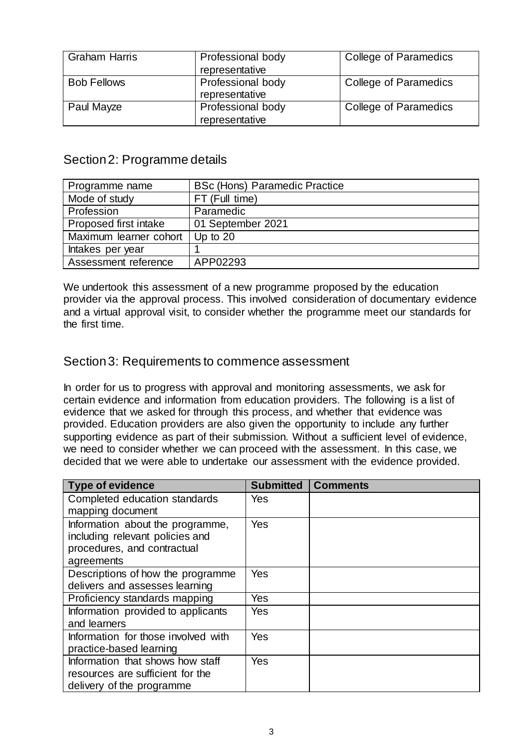| <b>Graham Harris</b> | Professional body<br>representative | <b>College of Paramedics</b> |
|----------------------|-------------------------------------|------------------------------|
| <b>Bob Fellows</b>   | Professional body<br>representative | College of Paramedics        |
| Paul Mayze           | Professional body<br>representative | College of Paramedics        |

# <span id="page-2-0"></span>Section 2: Programme details

| Programme name         | <b>BSc (Hons) Paramedic Practice</b> |  |
|------------------------|--------------------------------------|--|
| Mode of study          | FT (Full time)                       |  |
| Profession             | Paramedic                            |  |
| Proposed first intake  | 01 September 2021                    |  |
| Maximum learner cohort | Up to $20$                           |  |
| Intakes per year       |                                      |  |
| Assessment reference   | APP02293                             |  |

We undertook this assessment of a new programme proposed by the education provider via the approval process. This involved consideration of documentary evidence and a virtual approval visit, to consider whether the programme meet our standards for the first time.

## <span id="page-2-1"></span>Section 3: Requirements to commence assessment

In order for us to progress with approval and monitoring assessments, we ask for certain evidence and information from education providers. The following is a list of evidence that we asked for through this process, and whether that evidence was provided. Education providers are also given the opportunity to include any further supporting evidence as part of their submission. Without a sufficient level of evidence, we need to consider whether we can proceed with the assessment. In this case, we decided that we were able to undertake our assessment with the evidence provided.

| <b>Type of evidence</b>                                                                                          | <b>Submitted</b> | <b>Comments</b> |
|------------------------------------------------------------------------------------------------------------------|------------------|-----------------|
| Completed education standards<br>mapping document                                                                | Yes              |                 |
| Information about the programme,<br>including relevant policies and<br>procedures, and contractual<br>agreements | Yes              |                 |
| Descriptions of how the programme<br>delivers and assesses learning                                              | Yes              |                 |
| Proficiency standards mapping                                                                                    | Yes              |                 |
| Information provided to applicants                                                                               | Yes              |                 |
| and learners                                                                                                     |                  |                 |
| Information for those involved with<br>practice-based learning                                                   | Yes              |                 |
| Information that shows how staff<br>resources are sufficient for the<br>delivery of the programme                | Yes              |                 |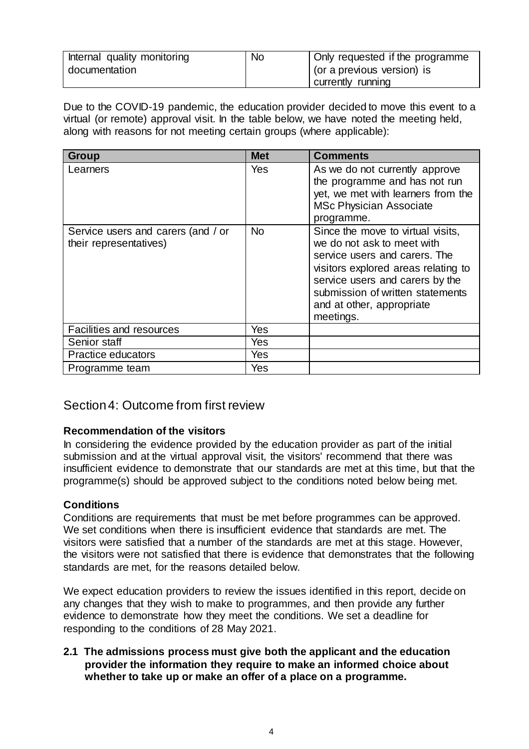| Internal quality monitoring | <b>No</b> | Only requested if the programme |
|-----------------------------|-----------|---------------------------------|
| documentation               |           | (or a previous version) is      |
|                             |           | currently running               |

Due to the COVID-19 pandemic, the education provider decided to move this event to a virtual (or remote) approval visit. In the table below, we have noted the meeting held, along with reasons for not meeting certain groups (where applicable):

| <b>Group</b>                                                 | <b>Met</b> | <b>Comments</b>                                                                                                                                                                                                                                          |
|--------------------------------------------------------------|------------|----------------------------------------------------------------------------------------------------------------------------------------------------------------------------------------------------------------------------------------------------------|
| Learners                                                     | Yes        | As we do not currently approve<br>the programme and has not run<br>yet, we met with learners from the<br><b>MSc Physician Associate</b><br>programme.                                                                                                    |
| Service users and carers (and / or<br>their representatives) | <b>No</b>  | Since the move to virtual visits,<br>we do not ask to meet with<br>service users and carers. The<br>visitors explored areas relating to<br>service users and carers by the<br>submission of written statements<br>and at other, appropriate<br>meetings. |
| Facilities and resources                                     | Yes        |                                                                                                                                                                                                                                                          |
| Senior staff                                                 | Yes        |                                                                                                                                                                                                                                                          |
| Practice educators                                           | Yes        |                                                                                                                                                                                                                                                          |
| Programme team                                               | Yes        |                                                                                                                                                                                                                                                          |

## <span id="page-3-0"></span>Section 4: Outcome from first review

### **Recommendation of the visitors**

In considering the evidence provided by the education provider as part of the initial submission and at the virtual approval visit, the visitors' recommend that there was insufficient evidence to demonstrate that our standards are met at this time, but that the programme(s) should be approved subject to the conditions noted below being met.

### **Conditions**

Conditions are requirements that must be met before programmes can be approved. We set conditions when there is insufficient evidence that standards are met. The visitors were satisfied that a number of the standards are met at this stage. However, the visitors were not satisfied that there is evidence that demonstrates that the following standards are met, for the reasons detailed below.

We expect education providers to review the issues identified in this report, decide on any changes that they wish to make to programmes, and then provide any further evidence to demonstrate how they meet the conditions. We set a deadline for responding to the conditions of 28 May 2021.

**2.1 The admissions process must give both the applicant and the education provider the information they require to make an informed choice about whether to take up or make an offer of a place on a programme.**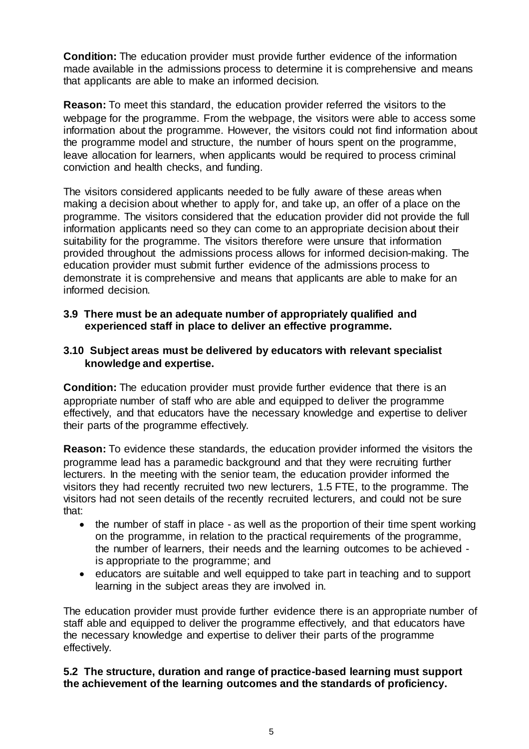**Condition:** The education provider must provide further evidence of the information made available in the admissions process to determine it is comprehensive and means that applicants are able to make an informed decision.

**Reason:** To meet this standard, the education provider referred the visitors to the webpage for the programme. From the webpage, the visitors were able to access some information about the programme. However, the visitors could not find information about the programme model and structure, the number of hours spent on the programme, leave allocation for learners, when applicants would be required to process criminal conviction and health checks, and funding.

The visitors considered applicants needed to be fully aware of these areas when making a decision about whether to apply for, and take up, an offer of a place on the programme. The visitors considered that the education provider did not provide the full information applicants need so they can come to an appropriate decision about their suitability for the programme. The visitors therefore were unsure that information provided throughout the admissions process allows for informed decision-making. The education provider must submit further evidence of the admissions process to demonstrate it is comprehensive and means that applicants are able to make for an informed decision.

### **3.9 There must be an adequate number of appropriately qualified and experienced staff in place to deliver an effective programme.**

### **3.10 Subject areas must be delivered by educators with relevant specialist knowledge and expertise.**

**Condition:** The education provider must provide further evidence that there is an appropriate number of staff who are able and equipped to deliver the programme effectively, and that educators have the necessary knowledge and expertise to deliver their parts of the programme effectively.

**Reason:** To evidence these standards, the education provider informed the visitors the programme lead has a paramedic background and that they were recruiting further lecturers. In the meeting with the senior team, the education provider informed the visitors they had recently recruited two new lecturers, 1.5 FTE, to the programme. The visitors had not seen details of the recently recruited lecturers, and could not be sure that:

- the number of staff in place as well as the proportion of their time spent working on the programme, in relation to the practical requirements of the programme, the number of learners, their needs and the learning outcomes to be achieved is appropriate to the programme; and
- educators are suitable and well equipped to take part in teaching and to support learning in the subject areas they are involved in.

The education provider must provide further evidence there is an appropriate number of staff able and equipped to deliver the programme effectively, and that educators have the necessary knowledge and expertise to deliver their parts of the programme effectively.

### **5.2 The structure, duration and range of practice-based learning must support the achievement of the learning outcomes and the standards of proficiency.**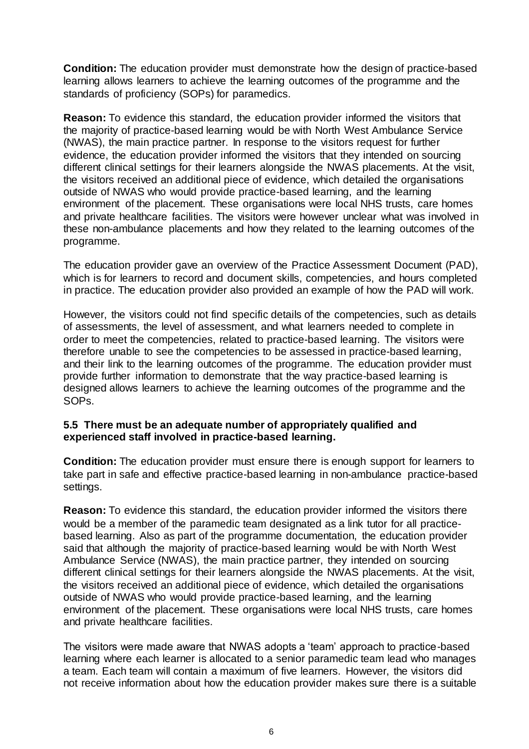**Condition:** The education provider must demonstrate how the design of practice-based learning allows learners to achieve the learning outcomes of the programme and the standards of proficiency (SOPs) for paramedics.

**Reason:** To evidence this standard, the education provider informed the visitors that the majority of practice-based learning would be with North West Ambulance Service (NWAS), the main practice partner. In response to the visitors request for further evidence, the education provider informed the visitors that they intended on sourcing different clinical settings for their learners alongside the NWAS placements. At the visit, the visitors received an additional piece of evidence, which detailed the organisations outside of NWAS who would provide practice-based learning, and the learning environment of the placement. These organisations were local NHS trusts, care homes and private healthcare facilities. The visitors were however unclear what was involved in these non-ambulance placements and how they related to the learning outcomes of the programme.

The education provider gave an overview of the Practice Assessment Document (PAD), which is for learners to record and document skills, competencies, and hours completed in practice. The education provider also provided an example of how the PAD will work.

However, the visitors could not find specific details of the competencies, such as details of assessments, the level of assessment, and what learners needed to complete in order to meet the competencies, related to practice-based learning. The visitors were therefore unable to see the competencies to be assessed in practice-based learning, and their link to the learning outcomes of the programme. The education provider must provide further information to demonstrate that the way practice-based learning is designed allows learners to achieve the learning outcomes of the programme and the SOPs.

### **5.5 There must be an adequate number of appropriately qualified and experienced staff involved in practice-based learning.**

**Condition:** The education provider must ensure there is enough support for learners to take part in safe and effective practice-based learning in non-ambulance practice-based settings.

**Reason:** To evidence this standard, the education provider informed the visitors there would be a member of the paramedic team designated as a link tutor for all practicebased learning. Also as part of the programme documentation, the education provider said that although the majority of practice-based learning would be with North West Ambulance Service (NWAS), the main practice partner, they intended on sourcing different clinical settings for their learners alongside the NWAS placements. At the visit, the visitors received an additional piece of evidence, which detailed the organisations outside of NWAS who would provide practice-based learning, and the learning environment of the placement. These organisations were local NHS trusts, care homes and private healthcare facilities.

The visitors were made aware that NWAS adopts a 'team' approach to practice-based learning where each learner is allocated to a senior paramedic team lead who manages a team. Each team will contain a maximum of five learners. However, the visitors did not receive information about how the education provider makes sure there is a suitable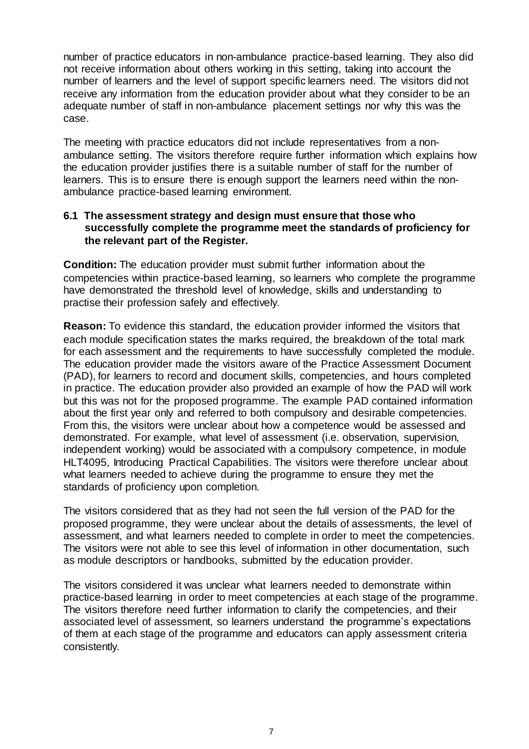number of practice educators in non-ambulance practice-based learning. They also did not receive information about others working in this setting, taking into account the number of learners and the level of support specific learners need. The visitors did not receive any information from the education provider about what they consider to be an adequate number of staff in non-ambulance placement settings nor why this was the case.

The meeting with practice educators did not include representatives from a nonambulance setting. The visitors therefore require further information which explains how the education provider justifies there is a suitable number of staff for the number of learners. This is to ensure there is enough support the learners need within the nonambulance practice-based learning environment.

### **6.1 The assessment strategy and design must ensure that those who successfully complete the programme meet the standards of proficiency for the relevant part of the Register.**

**Condition:** The education provider must submit further information about the competencies within practice-based learning, so learners who complete the programme have demonstrated the threshold level of knowledge, skills and understanding to practise their profession safely and effectively.

**Reason:** To evidence this standard, the education provider informed the visitors that each module specification states the marks required, the breakdown of the total mark for each assessment and the requirements to have successfully completed the module. The education provider made the visitors aware of the Practice Assessment Document (PAD), for learners to record and document skills, competencies, and hours completed in practice. The education provider also provided an example of how the PAD will work but this was not for the proposed programme. The example PAD contained information about the first year only and referred to both compulsory and desirable competencies. From this, the visitors were unclear about how a competence would be assessed and demonstrated. For example, what level of assessment (i.e. observation, supervision, independent working) would be associated with a compulsory competence, in module HLT4095, Introducing Practical Capabilities. The visitors were therefore unclear about what learners needed to achieve during the programme to ensure they met the standards of proficiency upon completion.

The visitors considered that as they had not seen the full version of the PAD for the proposed programme, they were unclear about the details of assessments, the level of assessment, and what learners needed to complete in order to meet the competencies. The visitors were not able to see this level of information in other documentation, such as module descriptors or handbooks, submitted by the education provider.

The visitors considered it was unclear what learners needed to demonstrate within practice-based learning in order to meet competencies at each stage of the programme. The visitors therefore need further information to clarify the competencies, and their associated level of assessment, so learners understand the programme's expectations of them at each stage of the programme and educators can apply assessment criteria consistently.